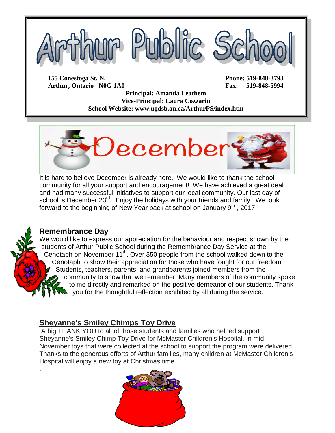

**Arthur, Ontario N0G 1A0 Fax: 519-848-5994**

**Principal: Amanda Leathem Vice-Principal: Laura Cozzarin School Website: www.ugdsb.on.ca/ArthurPS/index.htm**



It is hard to believe December is already here. We would like to thank the school community for all your support and encouragement! We have achieved a great deal and had many successful initiatives to support our local community. Our last day of school is December 23<sup>rd</sup>. Enjoy the holidays with your friends and family. We look forward to the beginning of New Year back at school on January  $9<sup>th</sup>$ , 2017!



.

## **Remembrance Day**

We would like to express our appreciation for the behaviour and respect shown by the students of Arthur Public School during the Remembrance Day Service at the Cenotaph on November 11<sup>th</sup>. Over 350 people from the school walked down to the Cenotaph to show their appreciation for those who have fought for our freedom. Students, teachers, parents, and grandparents joined members from the community to show that we remember. Many members of the community spoke to me directly and remarked on the positive demeanor of our students. Thank you for the thoughtful reflection exhibited by all during the service.

## **Sheyanne's Smiley Chimps Toy Drive**

A big THANK YOU to all of those students and families who helped support Sheyanne's Smiley Chimp Toy Drive for McMaster Children's Hospital. In mid-November toys that were collected at the school to support the program were delivered. Thanks to the generous efforts of Arthur families, many children at McMaster Children's Hospital will enjoy a new toy at Christmas time.

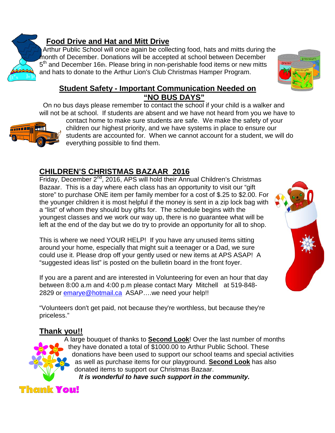

# **Food Drive and Hat and Mitt Drive**

Arthur Public School will once again be collecting food, hats and mitts during the month of December. Donations will be accepted at school between December 5<sup>th</sup> and December 16th. Please bring in non-perishable food items or new mitts and hats to donate to the Arthur Lion's Club Christmas Hamper Program.



### **Student Safety - Important Communication Needed on "NO BUS DAYS"**

 On no bus days please remember to contact the school if your child is a walker and will not be at school. If students are absent and we have not heard from you we have to



contact home to make sure students are safe. We make the safety of your children our highest priority, and we have systems in place to ensure our students are accounted for. When we cannot account for a student, we will do everything possible to find them.

# **CHILDREN'S CHRISTMAS BAZAAR 2016**

Friday, December 2<sup>nd</sup>, 2016, APS will hold their Annual Children's Christmas Bazaar. This is a day where each class has an opportunity to visit our "gift store" to purchase ONE item per family member for a cost of \$.25 to \$2.00. For the younger children it is most helpful if the money is sent in a zip lock bag with a "list" of whom they should buy gifts for. The schedule begins with the youngest classes and we work our way up, there is no guarantee what will be left at the end of the day but we do try to provide an opportunity for all to shop.

This is where we need YOUR HELP! If you have any unused items sitting around your home, especially that might suit a teenager or a Dad, we sure could use it. Please drop off your gently used or new items at APS ASAP! A "suggested ideas list" is posted on the bulletin board in the front foyer.

If you are a parent and are interested in Volunteering for even an hour that day between 8:00 a.m and 4:00 p.m please contact Mary Mitchell at 519-848 2829 or [emarye@hotmail.ca](mailto:emarye@hotmail.ca) ASAP....we need your help!!

"Volunteers don't get paid, not because they're worthless, but because they're priceless."

# **Thank you!!**



A large bouquet of thanks to **Second Look**! Over the last number of months they have donated a total of \$1000.00 to Arthur Public School. These donations have been used to support our school teams and special activities as well as purchase items for our playground. **Second Look** has also donated items to support our Christmas Bazaar.

*It is wonderful to have such support in the community.*

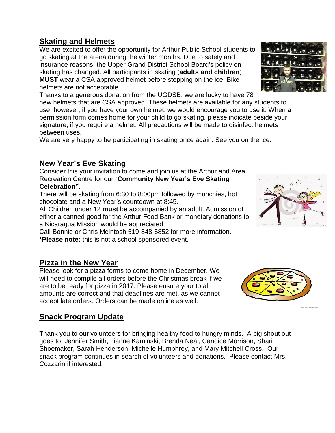# **Skating and Helmets**

We are excited to offer the opportunity for Arthur Public School students to go skating at the arena during the winter months. Due to safety and insurance reasons, the Upper Grand District School Board's policy on skating has changed. All participants in skating (**adults and children**) **MUST** wear a CSA approved helmet before stepping on the ice. Bike helmets are not acceptable.

Thanks to a generous donation from the UGDSB, we are lucky to have 78 new helmets that are CSA approved. These helmets are available for any students to use, however, if you have your own helmet, we would encourage you to use it. When a permission form comes home for your child to go skating, please indicate beside your signature, if you require a helmet. All precautions will be made to disinfect helmets between uses.

We are very happy to be participating in skating once again. See you on the ice.

# **New Year's Eve Skating**

Consider this your invitation to come and join us at the Arthur and Area Recreation Centre for our "**Community New Year's Eve Skating Celebration"**.

There will be skating from 6:30 to 8:00pm followed by munchies, hot chocolate and a New Year's countdown at 8:45.

All Children under 12 **must** be accompanied by an adult. Admission of either a canned good for the Arthur Food Bank or monetary donations to a Nicaragua Mission would be appreciated.

Call Bonnie or Chris McIntosh 519-848-5852 for more information. **\*Please note:** this is not a school sponsored event.

## **Pizza in the New Year**

Please look for a pizza forms to come home in December. We will need to compile all orders before the Christmas break if we are to be ready for pizza in 2017. Please ensure your total amounts are correct and that deadlines are met, as we cannot accept late orders. Orders can be made online as well.

# **Snack Program Update**

Thank you to our volunteers for bringing healthy food to hungry minds. A big shout out goes to: Jennifer Smith, Lianne Kaminski, Brenda Neal, Candice Morrison, Shari Shoemaker, Sarah Henderson, Michelle Humphrey, and Mary Mitchell Cross. Our snack program continues in search of volunteers and donations. Please contact Mrs. Cozzarin if interested.







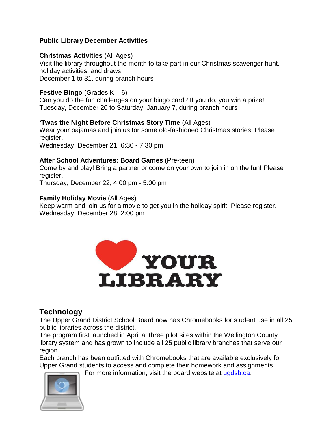#### **Public Library December Activities**

#### **Christmas Activities** (All Ages)

Visit the library throughout the month to take part in our Christmas scavenger hunt, holiday activities, and draws! December 1 to 31, during branch hours

#### **Festive Bingo** (Grades K – 6)

Can you do the fun challenges on your bingo card? If you do, you win a prize! Tuesday, December 20 to Saturday, January 7, during branch hours

#### **'Twas the Night Before Christmas Story Time** (All Ages)

Wear your pajamas and join us for some old-fashioned Christmas stories. Please register.

Wednesday, December 21, 6:30 - 7:30 pm

#### **After School Adventures: Board Games** (Pre-teen)

Come by and play! Bring a partner or come on your own to join in on the fun! Please register.

Thursday, December 22, 4:00 pm - 5:00 pm

#### **Family Holiday Movie** (All Ages)

Keep warm and join us for a movie to get you in the holiday spirit! Please register. Wednesday, December 28, 2:00 pm



## **Technology**

The Upper Grand District School Board now has Chromebooks for student use in all 25 public libraries across the district.

The program first launched in April at three pilot sites within the Wellington County library system and has grown to include all 25 public library branches that serve our region.

Each branch has been outfitted with Chromebooks that are available exclusively for Upper Grand students to access and complete their homework and assignments.



For more information, visit the board website at [ugdsb.ca.](http://www.ugdsb.on.ca/news_article.aspx?id=61593&blogid=32405)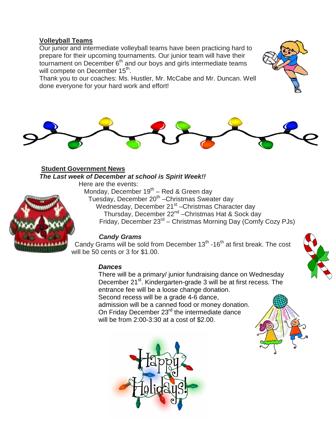#### **Volleyball Teams**

Our junior and intermediate volleyball teams have been practicing hard to prepare for their upcoming tournaments. Our junior team will have their tournament on December  $6<sup>th</sup>$  and our boys and girls intermediate teams will compete on December 15<sup>th</sup>.

Thank you to our coaches: Ms. Hustler, Mr. McCabe and Mr. Duncan. Well done everyone for your hard work and effort!



#### **Student Government News** *The Last week of December at school is Spirit Week!!*

Here are the events:

Monday, December  $19^{th}$  – Red & Green day Tuesday, December 20<sup>th</sup> – Christmas Sweater day Wednesday, December 21<sup>st</sup> - Christmas Character day Thursday, December 22<sup>nd</sup> – Christmas Hat & Sock day Friday, December 23<sup>rd</sup> – Christmas Morning Day (Comfy Cozy PJs)

#### *Candy Grams*

Candy Grams will be sold from December  $13<sup>th</sup>$  -16<sup>th</sup> at first break. The cost will be 50 cents or 3 for \$1.00.

#### *Dances*

There will be a primary/ junior fundraising dance on Wednesday December 21<sup>st</sup>. Kindergarten-grade 3 will be at first recess. The entrance fee will be a loose change donation. Second recess will be a grade 4-6 dance,

admission will be a canned food or money donation. On Friday December 23<sup>rd</sup> the intermediate dance will be from 2:00-3:30 at a cost of \$2.00.